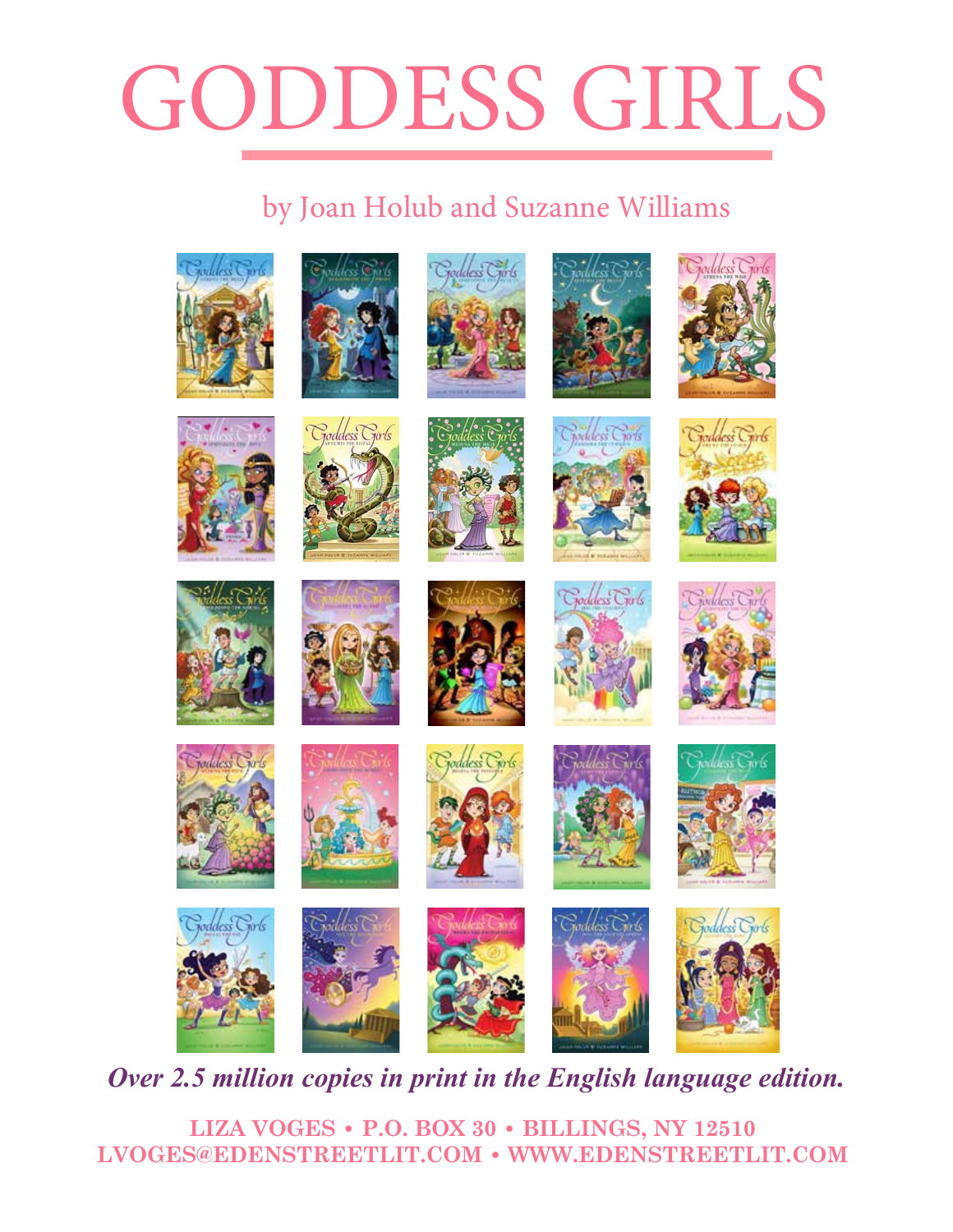#### GODDESS GIRLS GODDESS GIRL **#14 IRIS THE COLORFUL #10 PHEME THE GOSSIP**  $m = m$  to school. Pandora can be take a peek inside when it help but take a peek inside when it here when it has been inside when it has a periodical canonical can be a periodical canonical can be a periodical canonical ca unexpectedly lands in her lap.  $\overline{\mathcal{P}}$   $\overline{\mathcal{P}}$  $\bigcap$ **#6 APHRODITE THE DIVA #5 ATHENA THE WISE #1 ATHENA THE BRAIN #2 PERSEPHONE THE PHONY**  Athena isn't the only new kid at Mount Olympus Academy . . . When a mortal named Athena has always been above average. She's never quite fit in at Triton Junior High, but instead of doing what she really wants. But when she meets Mount Olympus Academy **#3 APHRODITE THE BEAUTY**   $A = \frac{1}{\sqrt{2\pi}}$  and  $B = \frac{1}{\sqrt{2\pi}}$  and  $B = \frac{1}{\sqrt{2\pi}}$  pretty and  $B = \frac{1}{\sqrt{2\pi}}$

#### by Joan Holub and Suzanne Williams by Joan Holub and Suzanne Williams  $\mathbf{v}$  figures out how to create magical rainbow slides that will allow her to construct that will allow her to construct that will allow her to construct that will allow her to construct that will allow her to construc travel from Mount Olympus to  $\mathbb{R}^n$ Olympus Academy. To make sure that people really get her VIP messages, her e Williams in coloud letters above her head- $\epsilon$  at she she says is the she says insider with Pheme's insider with Pheme's insider with Pheme's insider with Pheme's insider with Pheme's insider with Pheme's insider with Pheme's insider with Pheme's insider with Phe not that she thinks there is any thinks there is any thinks there is any the course! Here  $\alpha$ nd Suzanne Williams into high gear when a godboy named E mesterious box to school. Pandora can't help but the peek inside when it has been inside when it was a performanced when it was a performanced with the set of the set of the set of the set of the set of the set of the set anne Williams complete twee "labors" or be kicked out of school when her dad, Principal Zeus, as her dad, Principal Zeus, as  $\mathbf b$  and Suzanne Williams poop. It will be all the family will take the south of the south of the south of the south  $\mu$ special difference Williams

Iris is the most colorful goddess girl at Mount Olympus Academy. In fact, her

After a teeny misunderstanding in class, Aphrodite is failing Hero-ology. To raise her grade,

bad-boy Hades, she finally feels she has found someone with whom she can be herself.

Is Pandora about to open up a box of trouble? One of the few mortals at

who would've guessed that Athena is actually a goddess? Principal Zeus's daughter, to be

As the goddess girl of rumor and gossip, Pheme prides herself on being "in the

she decides to give Athena a makeover, she's a bit unprepared for the result. She



**Over 2.5 million copies in print in the English language edition. German: Egmont Korean: Random House Korea French**  conice i **Korean: Random House Korea French**   $\alpha$  addition might be equivered. Athena wants to upgrade a labyrinth for King Minos, but her approach causes  $p$  in this Girls adventure. At her athena's arrogance gets the best of her athena's arrogance gets the best of her athena's arrogance gets the best of her athena's arrogance gets the best of her athena's arrogance gets t

**LIZA VOGES • P.O. BOX 30 • BILLINGS, NY 12510 LVOGES@EDENSTREETLIT.COM • WWW.EDENSTREETLIT.COM LIZA VOGES • P.O. BOX 30 • BILLINGS, NY 12510**  $\bf LVOGES@EDENSTREETLIT. COM ~ WWW. EDENSTREETLIT. COM$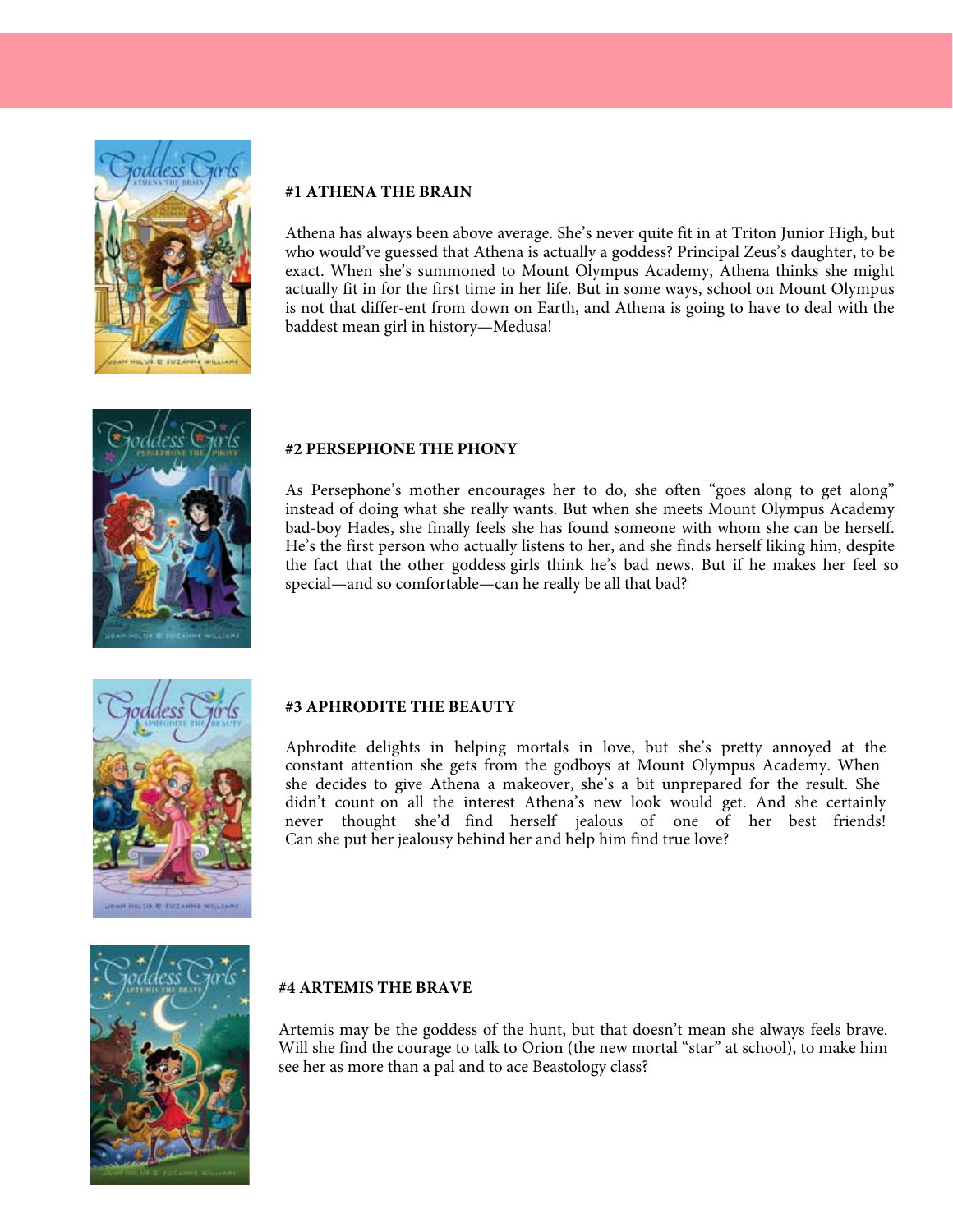

## **#1 ATHENA THE BRAIN**

Athena has always been above average. She's never quite fit in at Triton Junior High, but who would've guessed that Athena is actually a goddess? Principal Zeus's daughter, to be exact. When she's summoned to Mount Olympus Academy, Athena thinks she might actually fit in for the first time in her life. But in some ways, school on Mount Olympus is not that differ-ent from down on Earth, and Athena is going to have to deal with the baddest mean girl in history—Medusa!



#### **#2 PERSEPHONE THE PHONY**

As Persephone's mother encourages her to do, she often "goes along to get along" instead of doing what she really wants. But when she meets Mount Olympus Academy bad-boy Hades, she finally feels she has found someone with whom she can be herself. He's the first person who actually listens to her, and she finds herself liking him, despite the fact that the other goddess girls think he's bad news. But if he makes her feel so special—and so comfortable—can he really be all that bad?



#### **#3 APHRODITE THE BEAUTY**

Aphrodite delights in helping mortals in love, but she's pretty annoyed at the constant attention she gets from the godboys at Mount Olympus Academy. When she decides to give Athena a makeover, she's a bit unprepared for the result. She didn't count on all the interest Athena's new look would get. And she certainly never thought she'd find herself jealous of one of her best friends! Can she put her jealousy behind her and help him find true love?



#### **#4 ARTEMIS THE BRAVE**

Artemis may be the goddess of the hunt, but that doesn't mean she always feels brave. Will she find the courage to talk to Orion (the new mortal "star" at school), to make him see her as more than a pal and to ace Beastology class?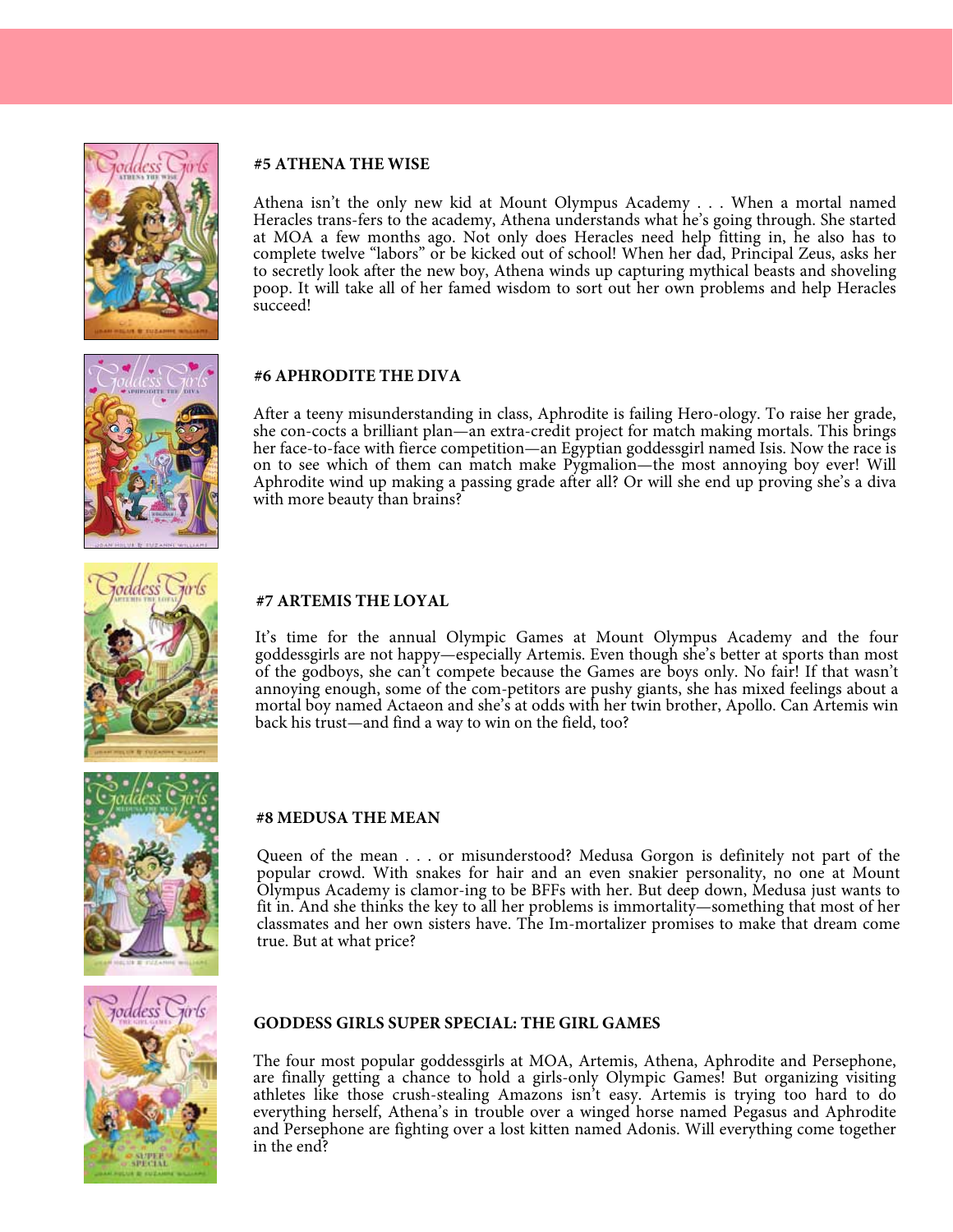

#### **#5 ATHENA THE WISE**

Athena isn't the only new kid at Mount Olympus Academy . . . When a mortal named Heracles trans-fers to the academy, Athena understands what he's going through. She started at MOA a few months ago. Not only does Heracles need help fitting in, he also has to complete twelve "labors" or be kicked out of school! When her dad, Principal Zeus, asks her to secretly look after the new boy, Athena winds up capturing mythical beasts and shoveling poop. It will take all of her famed wisdom to sort out her own problems and help Heracles succeed!

#### **#6 APHRODITE THE DIVA**

After a teeny misunderstanding in class, Aphrodite is failing Hero-ology. To raise her grade, she con-cocts a brilliant plan—an extra-credit project for match making mortals. This brings her face-to-face with fierce competition—an Egyptian goddessgirl named Isis. Now the race is on to see which of them can match make Pygmalion—the most annoying boy ever! Will Aphrodite wind up making a passing grade after all? Or will she end up proving she's a diva with more beauty than brains?

#### **#7 ARTEMIS THE LOYAL**

It's time for the annual Olympic Games at Mount Olympus Academy and the four goddessgirls are not happy—especially Artemis. Even though she's better at sports than most of the godboys, she can't compete because the Games are boys only. No fair! If that wasn't annoying enough, some of the com-petitors are pushy giants, she has mixed feelings about a mortal boy named Actaeon and she's at odds with her twin brother, Apollo. Can Artemis win back his trust—and find a way to win on the field, too?



#### **#8 MEDUSA THE MEAN**

Queen of the mean . . . or misunderstood? Medusa Gorgon is definitely not part of the popular crowd. With snakes for hair and an even snakier personality, no one at Mount Olympus Academy is clamor-ing to be BFFs with her. But deep down, Medusa just wants to fit in. And she thinks the key to all her problems is immortality—something that most of her classmates and her own sisters have. The Im-mortalizer promises to make that dream come true. But at what price?



#### **GODDESS GIRLS SUPER SPECIAL: THE GIRL GAMES**

The four most popular goddessgirls at MOA, Artemis, Athena, Aphrodite and Persephone, are finally getting a chance to hold a girls-only Olympic Games! But organizing visiting athletes like those crush-stealing Amazons isn't easy. Artemis is trying too hard to do everything herself, Athena's in trouble over a winged horse named Pegasus and Aphrodite and Persephone are fighting over a lost kitten named Adonis. Will everything come together in the end?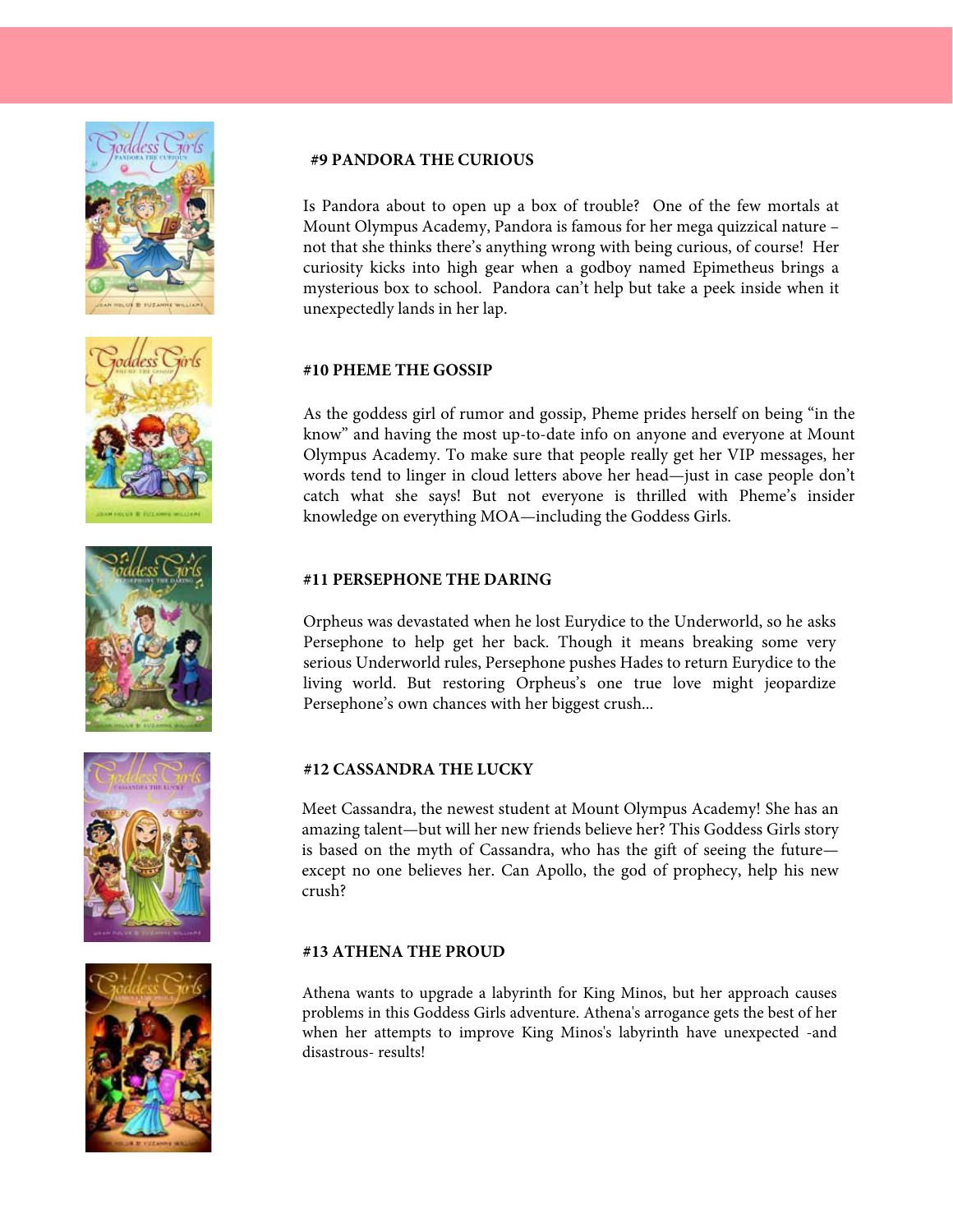









#### **#9 PANDORA THE CURIOUS**

Is Pandora about to open up a box of trouble? One of the few mortals at Mount Olympus Academy, Pandora is famous for her mega quizzical nature – not that she thinks there's anything wrong with being curious, of course! Her curiosity kicks into high gear when a godboy named Epimetheus brings a mysterious box to school. Pandora can't help but take a peek inside when it unexpectedly lands in her lap.

#### **#10 PHEME THE GOSSIP**

As the goddess girl of rumor and gossip, Pheme prides herself on being "in the know" and having the most up-to-date info on anyone and everyone at Mount Olympus Academy. To make sure that people really get her VIP messages, her words tend to linger in cloud letters above her head—just in case people don't catch what she says! But not everyone is thrilled with Pheme's insider knowledge on everything MOA—including the Goddess Girls.

#### **#11 PERSEPHONE THE DARING**

Orpheus was devastated when he lost Eurydice to the Underworld, so he asks Persephone to help get her back. Though it means breaking some very serious Underworld rules, Persephone pushes Hades to return Eurydice to the living world. But restoring Orpheus's one true love might jeopardize Persephone's own chances with her biggest crush...

#### **#12 CASSANDRA THE LUCKY**

Meet Cassandra, the newest student at Mount Olympus Academy! She has an amazing talent—but will her new friends believe her? This Goddess Girls story is based on the myth of Cassandra, who has the gift of seeing the future except no one believes her. Can Apollo, the god of prophecy, help his new crush?

#### **#13 ATHENA THE PROUD**

Athena wants to upgrade a labyrinth for King Minos, but her approach causes problems in this Goddess Girls adventure. Athena's arrogance gets the best of her when her attempts to improve King Minos's labyrinth have unexpected -and disastrous- results!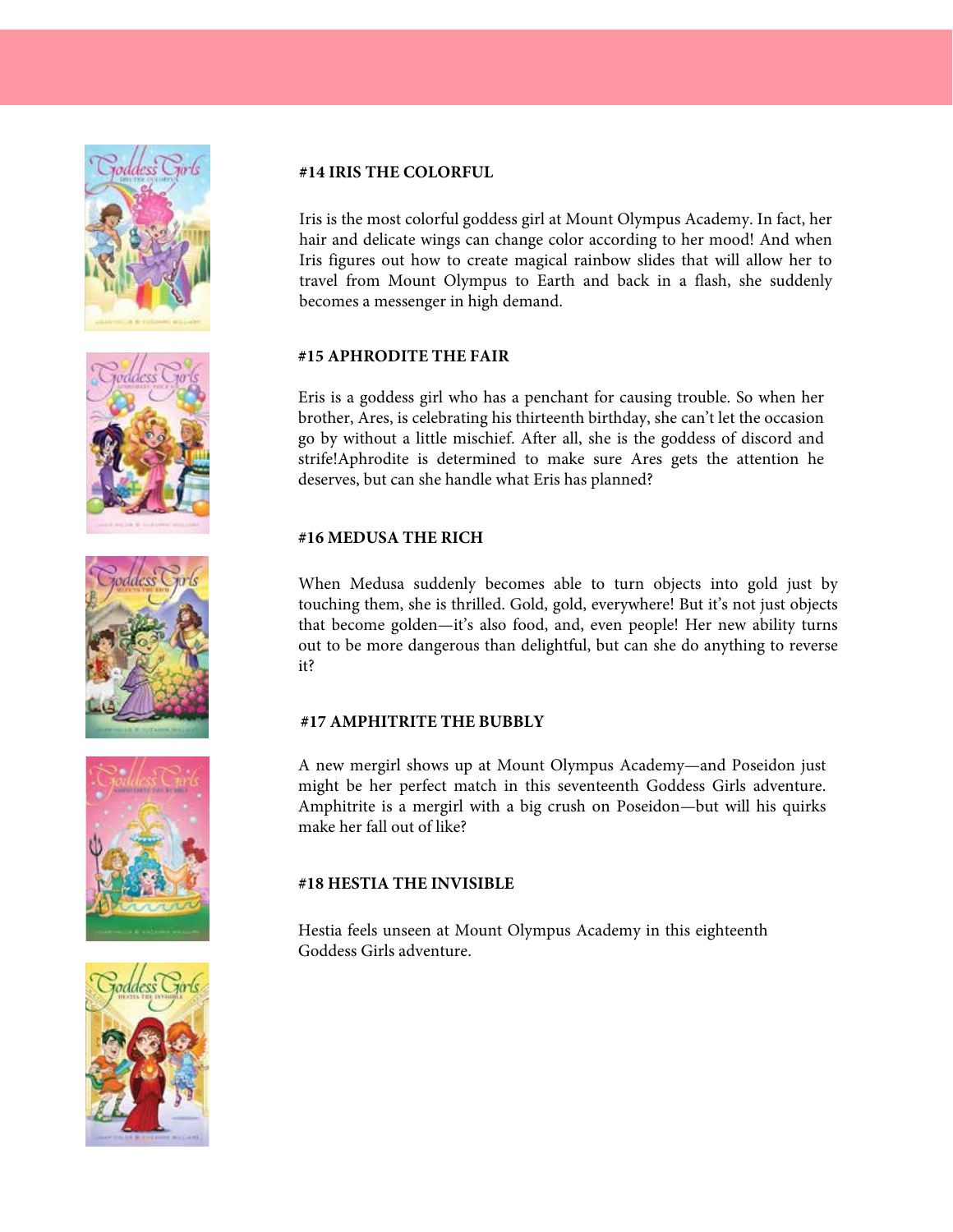









#### **#14 IRIS THE COLORFUL**

Iris is the most colorful goddess girl at Mount Olympus Academy. In fact, her hair and delicate wings can change color according to her mood! And when Iris figures out how to create magical rainbow slides that will allow her to travel from Mount Olympus to Earth and back in a flash, she suddenly becomes a messenger in high demand.

#### **#15 APHRODITE THE FAIR**

Eris is a goddess girl who has a penchant for causing trouble. So when her brother, Ares, is celebrating his thirteenth birthday, she can't let the occasion go by without a little mischief. After all, she is the goddess of discord and strife!Aphrodite is determined to make sure Ares gets the attention he deserves, but can she handle what Eris has planned?

### **#16 MEDUSA THE RICH**

When Medusa suddenly becomes able to turn objects into gold just by touching them, she is thrilled. Gold, gold, everywhere! But it's not just objects that become golden—it's also food, and, even people! Her new ability turns out to be more dangerous than delightful, but can she do anything to reverse it?

#### **#17 AMPHITRITE THE BUBBLY**

A new mergirl shows up at Mount Olympus Academy—and Poseidon just might be her perfect match in this seventeenth Goddess Girls adventure. Amphitrite is a mergirl with a big crush on Poseidon—but will his quirks make her fall out of like?

#### **#18 HESTIA THE INVISIBLE**

Hestia feels unseen at Mount Olympus Academy in this eighteenth Goddess Girls adventure.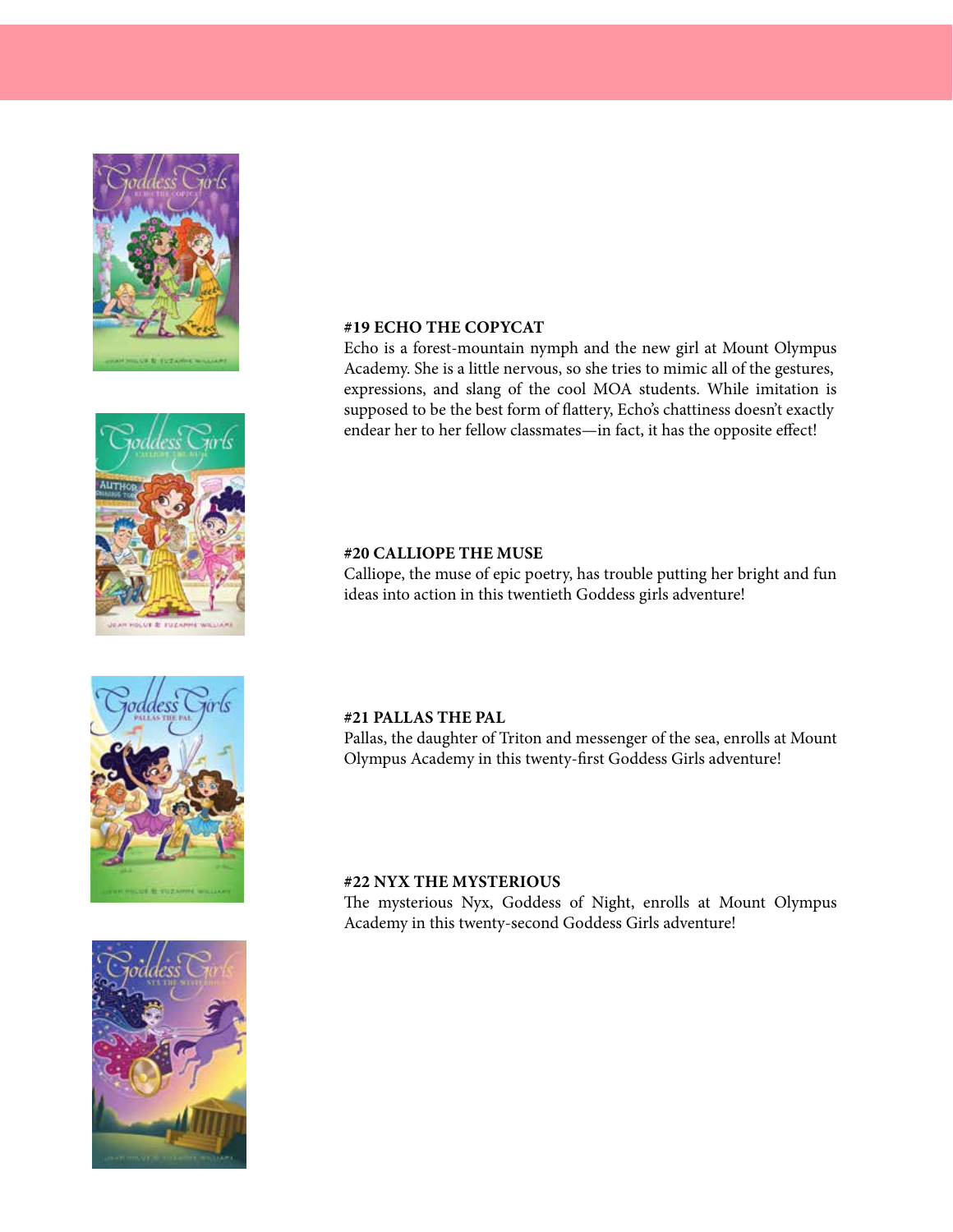







#### #19 ECHO THE COPYCAT  $\#17$  EUIU THE CUI FUAT

Echo is a forest-mountain nymph and the new girl at Mount Olympus endear her to her fellow classmates—in fact, it has the opposite effect! expressions, and slang of the cool MOA students. While imitation is capressions, and stang of the coor *MON* statems. While inhitiation is Academy. She is a little nervous, so she tries to mimic all of the gestures, supposed to be the best form of flattery, Echo's

#### #20 CALLIOPE THE MUSE adventure! adventure! #20 CALLIOPE THE MUSE

Calliope, the muse of epic poetry, has trouble putting her bright and fun ideas into action in this twentieth Goddess girls adventure! adventure!

#### **#21 PALLAS THE PAL Rights: Rights:**

Pallas, the daughter of Triton and messenger of the sea, enrolls at Mount Olympus Academy in this twenty-first Goddess Girls adventure!

### $#22$  NYX THE MYSTERIOUS **Turkish: Alfa Basim Yayim Dagitim #22 Nyx the Mysterious Compupress Spanish: Editorial Di Que Si Greek:**

**Sold: German: Egmont Correct Basim International Basim Streep Academy in this twenty-second Goddess Girls adventure!** The mysterious Nyx, Goddess of Night, enrolls at Mount Olympus **Turkish: Alfa Basim Yayim Dagitim Compupress** Freaderin<sub>1</sub>